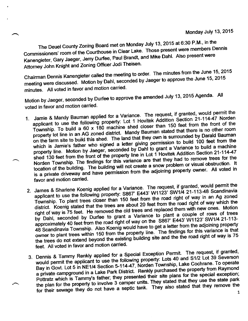The Deuel County Zoning Board met on Monday July 13, 2015 at 6:30 P.M., in the Commissioners' room of the Courthouse in Clear Lake. Those present were members Dennis Kanengieter, Gary Jaeger, Jerry Durfee, Paul Brandt, and Mike Dahl. Also present were Attorney John Knight and Zoning Officer Jodi Theisen.

Chairman Dennis Kanengieter called the meeting to order. The minutes from the June 15, 2015 meeting were discussed. Motion by Dahl, seconded by Jaeger to approve the June 15, 2015 minutes. All voted in favor and motion carried.

Motion by Jaeger, seconded by Durfee to approve the amended July 13, 2015 Agenda. All voted in favor and motion carried.

- 1. Jamie & Mandy Bauman applied for a Variance. The request, if granted, would permit the applicant to use the following property: Lot 1 Hovitek Addition Section 21-114-47 Norden Township. To build a 60 x 180 machine shed applicant to use the following property: Lot 1 Hovitek Addition Section 21-114-47 Norden applicant to use the following property. Lut is flowed Additional feet from the front of the<br>Township. To build a 60 x 180 machine shed closer than 150 feet from the front of the<br>property lot line in an AG zoned district. Township. To build a 60 x 160 machine shed closer than<br>property lot line in an AG zoned district. Mandy Bauman stated that there is no other room<br>on the farm site to build this shed. The land that they own is surrounded by on the farm site to build this shed. The land that they own is surrounded by Darald Bauman which is Jamie's father who signed a letter giving permission to build 100 feet from the which is Jamie's father who signed a fatter group procedure a Variance to build a machine<br>property line. Motion by Jaeger, seconded by Dahl to grant a Variance to build a machine shed 130 feet from the front of the property line in Lot 1 Hovitek Addition Section 2. The ring shed 130 feet from the findings for this variance are that they had to remove trees for the Norden Township. The findings for shed 130 feet from the front of the property line in Lot 1 Hovitek Addition Section 21-114-47 location of the building. The building will not create a snow problem or visual obstruction. It is a private driveway and have permission from the adjoining property owner. All voted in favor and motion carried.
- 2. James & Sharlene Koenig applied for a Variance. The request, if granted, would permit the applicant to use the following property: S867' E443' W1123' SW1/4 21-113-48 Scandinavia Township. To plant trees closer than 150 feet from the road right of way in an Ag zoned district. Koenig stated that the trees are about 20 feet from the road right of way which the right of way is 75 feet. He removed the old trees and replaced them with new ones. Motion right of way is 75 reet. He removed the bid does allowed to plant a couple of by Dahl, seconded by Durfee to grant a Variance to plant a couple of the Dahl, seconded by Durfee to grant a Variance to plant a couple of to plant a couple of rows of trees by Dahl, seconded by Duriee to grant a variation of S867' E443' W1123' SW1/4 21-113-<br>approximately 40 feet from the road right of way on the S867' E443' W1123' SW1/4 21-113approximately 40 feet from the foad hynt of way on the real letter from the adjoining property<br>48 Scandinavia Township. Also Koenig would have to get a letter from the adjoining property owner to plant trees within 150 from the property line. The findings for this variance is that the trees do not extend beyond the existing building site and the the road right of way is 75 feet. All voted in favor and motion carried.
- 3. Dennis & Tammy Renkly applied for a Special Exception Permit. The request, if granted, would permit the applicant to use the following property: Lots 40 and S1/2 Lot 39 Severson Bay in Govt. Lot 5 in NE1/4 Section 5-114-47, Norden Township, Lake Cochrane. To operate a private campground in a Lake Park District. Renkly purchased the relation the special exception.<br>Pottratz which is Tammy's father; they presented their site plans for the special exception. a private campground in a Lake Park District. Renkly purchased the property from Raymond the plan for the property to involve 3 camper units. They stated that they use the state paint the property to involve 3 camper units. They stated that they remove the for their sewage they do not have a septic tank. They the plan for the property to involve 3 camper units. They stated that they use the state park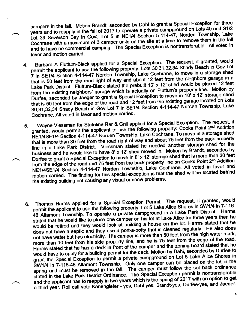campers in the fall. Motion Brandt, seconded by Dahl to grant a Special Exception for three years and to reapply in the fall of 2017 to operate a private campground on Lots 40 and S1/2 Lot 39 Severson Bay in Govt. Lot 5 in NE1/4 Section 5-114-47, Norden Township, Lake Cochrane with a maximum of 3 camper units on the site at a time to remove them in the fall and to have no commercial camping. The Special Exception is nontransferable. All voted in favor and motion carried.

- 4. Barbara A Fluttum-Black applied for a Special Exception. The request, if granted, would permit the applicant to use the following property: Lots 30,31,32,34 Shady Beach in Gov Lot 7 in SE1/4 Section 4-114-47 Norden Township, Lake Cochrane, to move in a storage shed that is 50 feet from the road right of way and about 12 feet from the neighbors garage in a Lake Park District. Fluttum-Black stated the prebuilt 10' x 12' shed would be placed 12 feet Fom the existing neighbors' garage which is actually<br>Durfee, seconded by Jaeger to grant a Special Excep from the existing neighbors' garage which is actually on Fluttum's property line. Motion by nom the existing neighbore garage onterpretial Exception to move in 10' x 12' storage shed<br>Durfee, seconded by Jaeger to grant a Special Exception to move in 10' x 12' storage shed Duriee, seconded by bacger to grain a opposite the result of the existing garage located on Lots<br>that is 50 feet from the edge of the road and 12 feet from the existing garage located on Lots hat is 50 leet noth the eage of the four and the Rection 4-114-47 Norden Township, Lake<br>30,31,32,34 Shady Beach in Gov Lot 7 in SE1/4 Section 4-114-47 Norden Township, Lake Cochrane. All voted in favor and motion carried.
- Wayne Viessman for Stateline Bar & Grill applied for a Special Exception. The request, if granted, would permit the applicant to use the following property: Cooks Point 2<sup>nd</sup> Addition NE1/4SE1/4 Section 4-114-47 Norden Township, Lake Cochrane. To move in a storage shed that is more than 30 feet from the road right of way and about 75 feet from the back property line in a Lake Park District. Viessman stated he needed another storage shed for the business and he would like to have 8' x 12' shed moved in. Motion by Brandt, seconded by Durfee to grant a Special Exception to move in 8' x 12' storage shed that is more than 30 feet from the edge of the road and 75 feet from the back property life on Cooks Follic 2. Additional<br>NE1/4SE1/4 Section 4-114-47 Norden Township, Lake Cochrane. All voted in favor and<br>international the located behind from the edge of the road and 75 feet from the back property line on Cooks Point 2<sup>nd</sup> Addition motion carried. The finding for this special exception is that the shed will be located behind the existing building not causing any visual or snow problems. 5.
- Thomas Harms applied for a Special Exception Permit. The request, if granted, would permit the applicant to use the following property: Lot 5 Lake Alice Shores in SW1/4 in 7-116-48 Altamont Township. To operate a private campground in a Lake Park District. Harms stated that he would like to place one camper on his lot at Lake Alice for three years then he would be retired and they would look at building a house on the lot. Harms stated that he would be retired and they would recive the port-<br>does not have a septic and they use a port-a-potty that is cleaned regularly. He also does<br>not have water but has electricity. His camper is more than 50 feet from the high not have water but has electricity. His camper is more than 50 feet from the high water mark, not have water but has electricity. His camper is more than 50 feet from the high water mark,<br>more than 10 feet from his side property line, and he is 75 feet from the edge of the road. Harms stated that he has a deck in front of the camper and the zoning board stated that he would have to apply for a building permit for the deck. Motion by Dahl, seconded by Durfee to grant the Special Exception to permit a private campground on Lot 5 Lake Alice Shores in SW1/4 in 7-116-48 Altamont Township. Only one camper can be placed on the lot in the spring and must be removed in the fall. The camper must follow the set back ordinance stated in the Lake Park District Ordinance. The Special Exception permit is nontransferable and the applicant has to reapply in two years which is the spring of 2017 with an option to get and the applicant has to reapply in the year in more than Brandt-yes, Durfee-yes, and Jaeger-<br>a third year. Roll call vote Kanengieter - yes, Dahl-yes, Brandt-yes, Durfee-yes, and Jaeger 6.